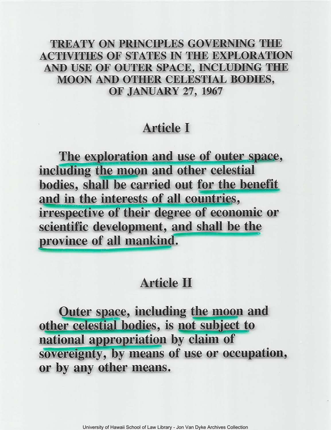TREATY ON PRINCIPLES GOVERNING THE ACTIVITIES OF STATES IN THE EXPLORATION AND USE OF OUTER SPACE, INCLUDING THE MOON AND OTHER CELESTIAL BODIES, OF JANUARY 27, 1967

## Article I

The exploration and use of outer space, including the moon and other celestial bodies, shall be carried out for the benefit and in the interests of all countries, irrespective of their degree of economic or scientific development, and shall be the province of all mankind.

### Article **II**

Outer space, including the moon and other celestial bodies, is not subject to national appropriation by claim of sovereignty, by means of use or occupation, or by any other means.